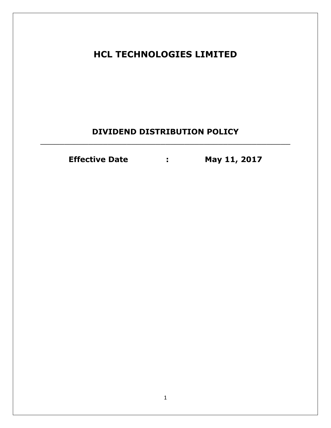**HCL TECHNOLOGIES LIMITED**

## **DIVIDEND DISTRIBUTION POLICY** \_\_\_\_\_\_\_\_\_\_\_\_\_\_\_\_\_\_\_\_\_\_\_\_\_\_\_\_\_\_\_\_\_\_\_\_\_\_\_\_\_\_\_\_\_\_\_\_\_\_\_\_

**Effective Date : May 11, 2017**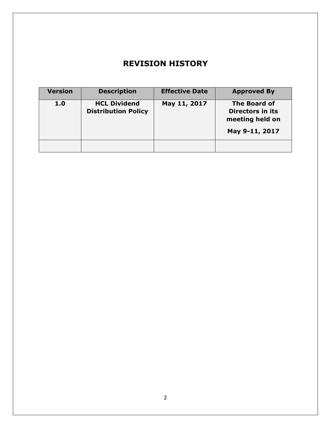# **REVISION HISTORY**

| <b>Version</b> | <b>Description</b>                                | <b>Effective Date</b> | <b>Approved By</b>                                                                  |
|----------------|---------------------------------------------------|-----------------------|-------------------------------------------------------------------------------------|
| 1.0            | <b>HCL Dividend</b><br><b>Distribution Policy</b> | May 11, 2017          | <b>The Board of</b><br><b>Directors in its</b><br>meeting held on<br>May 9-11, 2017 |
|                |                                                   |                       |                                                                                     |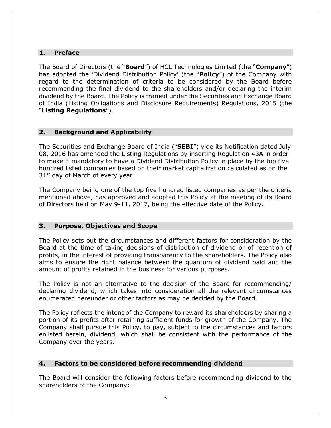#### **1. Preface**

The Board of Directors (the "**Board**") of HCL Technologies Limited (the "**Company**") has adopted the 'Dividend Distribution Policy' (the "**Policy**") of the Company with regard to the determination of criteria to be considered by the Board before recommending the final dividend to the shareholders and/or declaring the interim dividend by the Board. The Policy is framed under the Securities and Exchange Board of India (Listing Obligations and Disclosure Requirements) Regulations, 2015 (the "**Listing Regulations**").

## **2. Background and Applicability**

The Securities and Exchange Board of India ("**SEBI**") vide its Notification dated July 08, 2016 has amended the Listing Regulations by inserting Regulation 43A in order to make it mandatory to have a Dividend Distribution Policy in place by the top five hundred listed companies based on their market capitalization calculated as on the  $31<sup>st</sup>$  day of March of every year.

The Company being one of the top five hundred listed companies as per the criteria mentioned above, has approved and adopted this Policy at the meeting of its Board of Directors held on May 9-11, 2017, being the effective date of the Policy.

#### **3. Purpose, Objectives and Scope**

The Policy sets out the circumstances and different factors for consideration by the Board at the time of taking decisions of distribution of dividend or of retention of profits, in the interest of providing transparency to the shareholders. The Policy also aims to ensure the right balance between the quantum of dividend paid and the amount of profits retained in the business for various purposes.

The Policy is not an alternative to the decision of the Board for recommending/ declaring dividend, which takes into consideration all the relevant circumstances enumerated hereunder or other factors as may be decided by the Board.

The Policy reflects the intent of the Company to reward its shareholders by sharing a portion of its profits after retaining sufficient funds for growth of the Company. The Company shall pursue this Policy, to pay, subject to the circumstances and factors enlisted herein, dividend, which shall be consistent with the performance of the Company over the years.

#### **4. Factors to be considered before recommending dividend**

The Board will consider the following factors before recommending dividend to the shareholders of the Company: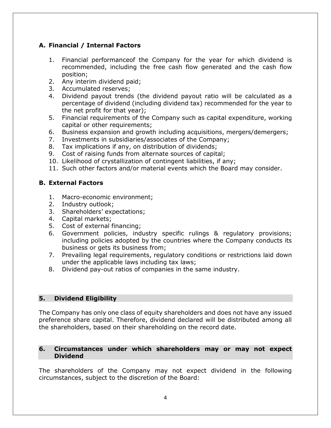## **A. Financial / Internal Factors**

- 1. Financial performanceof the Company for the year for which dividend is recommended, including the free cash flow generated and the cash flow position;
- 2. Any interim dividend paid;
- 3. Accumulated reserves;
- 4. Dividend payout trends (the dividend payout ratio will be calculated as a percentage of dividend (including dividend tax) recommended for the year to the net profit for that year);
- 5. Financial requirements of the Company such as capital expenditure, working capital or other requirements;
- 6. Business expansion and growth including acquisitions, mergers/demergers;
- 7. Investments in subsidiaries/associates of the Company;
- 8. Tax implications if any, on distribution of dividends;
- 9. Cost of raising funds from alternate sources of capital;
- 10. Likelihood of crystallization of contingent liabilities, if any;
- 11. Such other factors and/or material events which the Board may consider.

#### **B. External Factors**

- 1. Macro-economic environment;
- 2. Industry outlook;
- 3. Shareholders' expectations;
- 4. Capital markets;
- 5. Cost of external financing;
- 6. Government policies, industry specific rulings & regulatory provisions; including policies adopted by the countries where the Company conducts its business or gets its business from;
- 7. Prevailing legal requirements, regulatory conditions or restrictions laid down under the applicable laws including tax laws;
- 8. Dividend pay-out ratios of companies in the same industry.

#### **5. Dividend Eligibility**

The Company has only one class of equity shareholders and does not have any issued preference share capital. Therefore, dividend declared will be distributed among all the shareholders, based on their shareholding on the record date.

#### **6. Circumstances under which shareholders may or may not expect Dividend**

The shareholders of the Company may not expect dividend in the following circumstances, subject to the discretion of the Board: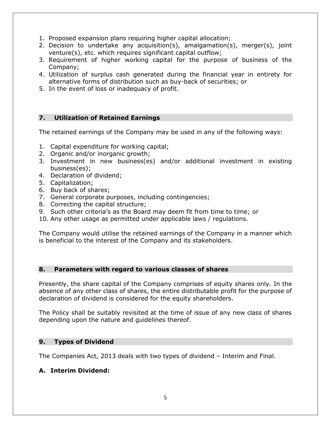- 1. Proposed expansion plans requiring higher capital allocation;
- 2. Decision to undertake any acquisition(s), amalgamation(s), merger(s), joint venture(s), etc. which requires significant capital outflow;
- 3. Requirement of higher working capital for the purpose of business of the Company;
- 4. Utilization of surplus cash generated during the financial year in entirety for alternative forms of distribution such as buy-back of securities; or
- 5. In the event of loss or inadequacy of profit.

#### **7. Utilization of Retained Earnings**

The retained earnings of the Company may be used in any of the following ways:

- 1. Capital expenditure for working capital;
- 2. Organic and/or inorganic growth;
- 3. Investment in new business(es) and/or additional investment in existing business(es);
- 4. Declaration of dividend;
- 5. Capitalization;
- 6. Buy back of shares;
- 7. General corporate purposes, including contingencies;
- 8. Correcting the capital structure;
- 9. Such other criteria's as the Board may deem fit from time to time; or
- 10. Any other usage as permitted under applicable laws / regulations.

The Company would utilise the retained earnings of the Company in a manner which is beneficial to the interest of the Company and its stakeholders.

#### **8. Parameters with regard to various classes of shares**

Presently, the share capital of the Company comprises of equity shares only. In the absence of any other class of shares, the entire distributable profit for the purpose of declaration of dividend is considered for the equity shareholders.

The Policy shall be suitably revisited at the time of issue of any new class of shares depending upon the nature and guidelines thereof.

#### **9. Types of Dividend**

The Companies Act, 2013 deals with two types of dividend – Interim and Final.

#### **A. Interim Dividend:**